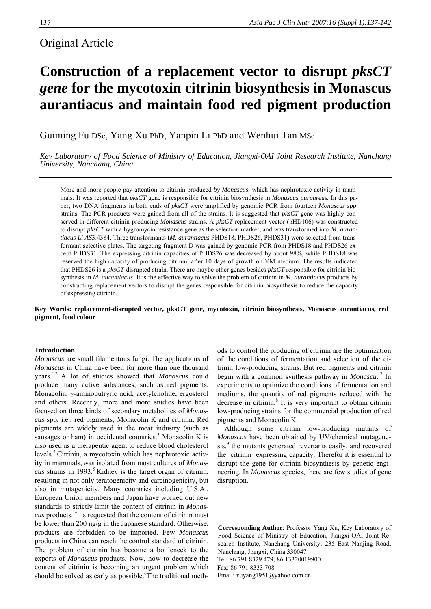# Original Article

# **Construction of a replacement vector to disrupt** *pksCT gene* **for the mycotoxin citrinin biosynthesis in Monascus aurantiacus and maintain food red pigment production**

Guiming Fu DSc, Yang Xu PhD, Yanpin Li PhD and Wenhui Tan MSc

*Key Laboratory of Food Science of Ministry of Education, Jiangxi-OAI Joint Research Institute, Nanchang University, Nanchang, China* 

More and more people pay attention to citrinin produced *by Monascus*, which has nephrotoxic activity in mammals. It was reported that *pksCT* gene is responsible for citrinin biosynthesis in *Monascus purpureus.* In this paper, two DNA fragments in both ends of *pksCT* were amplified by genomic PCR from fourteen *Monascus spp*. strains. The PCR products were gained from all of the strains. It is suggested that *pksCT* gene was highly conserved in different citrinin-producing *Monascus* strains. A *pksCT*-replacement vector (pHD106) was constructed to disrupt *pksCT* with a hygromycin resistance gene as the selection marker, and was transformed into *M. aurantiacus Li AS*3.4384. Three transformants **(***M. aurantiacus* PHDS18, PHDS26, PHDS31**)** were selected from **t**ransformant selective plates. The targeting fragment D was gained by genomic PCR from PHDS18 and PHDS26 except PHDS31. The expressing citrinin capacities of PHDS26 was decreased by about 98%, while PHDS18 was reserved the high capacity of producing citrinin, after 10 days of growth on YM medium. The results indicated that PHDS26 is a *pksCT*-disrupted strain. There are maybe other genes besides *pksCT* responsible for citrinin biosynthesis in *M. aurantiacus*. It is the effective way to solve the problem of citrinin in *M. aurantiacus* products by constructing replacement vectors to disrupt the genes responsible for citrinin biosynthesis to reduce the capacity of expressing citrinin.

**Key Words: replacement-disrupted vector, pksCT gene, mycotoxin, citrinin biosynthesis, Monascus aurantiacus, red pigment, food colour** 

# **Introduction**

*Monascus* are small filamentous fungi. The applications of *Monascus* in China have been for more than one thousand years.1,2 A lot of studies showed that *Monascus* could produce many active substances, such as red pigments, Monacolin, γ-aminobutryric acid, acetylcholine, ergosterol and others. Recently, more and more studies have been focused on three kinds of secondary metabolites of *Monascus* spp, i.e., red pigments, Monacolin K and citrinin. Red pigments are widely used in the meat industry (such as sausages or ham) in occidental countries.<sup>3</sup> Monacolin K is also used as a therapeutic agent to reduce blood cholesterol levels.4 Citrinin, a mycotoxin which has nephrotoxic activity in mammals, was isolated from most cultures of *Monascus* strains in 1993.5 Kidney is the target organ of citrinin, resulting in not only teratogenicity and carcinogenicity, but also in mutagenicity. Many countries including U.S.A., European Union members and Japan have worked out new standards to strictly limit the content of citrinin in *Monascus* products. It is requested that the content of citrinin must be lower than 200 ng/g in the Japanese standard. Otherwise, products are forbidden to be imported. Few *Monascus* products in China can reach the control standard of citrinin. The problem of citrinin has become a bottleneck to the exports of *Monascus* products. Now, how to decrease the content of citrinin is becoming an urgent problem which should be solved as early as possible. The traditional methods to control the producing of citrinin are the optimization of the conditions of fermentation and selection of the citrinin low-producing strains. But red pigments and citrinin begin with a common synthesis pathway in *Monascu*.<sup>7</sup> In experiments to optimize the conditions of fermentation and mediums, the quantity of red pigments reduced with the decrease in citrinin.<sup>8</sup> It is very important to obtain citrinin low-producing strains for the commercial production of red pigments and Monacolin K.

Although some citrinin low-producing mutants of *Monascus* have been obtained by UV/chemical mutagenesis,<sup>9</sup> the mutants generated revertants easily, and recovered the citrinin expressing capacity. Therefor it is essential to disrupt the gene for citrinin biosynthesis by genetic engineering. In *Monascus* species, there are few studies of gene disruption.

**Corresponding Author**: Professor Yang Xu, Key Laboratory of Food Science of Ministry of Education, Jiangxi-OAI Joint Research Institute, Nanchang University, 235 East Nanjing Road, Nanchang, Jiangxi, China 330047 Tel: 86 791 8329 479; 86 13320019900 Fax: 86 791 8333 708 Email: xuyang1951@yahoo.com.cn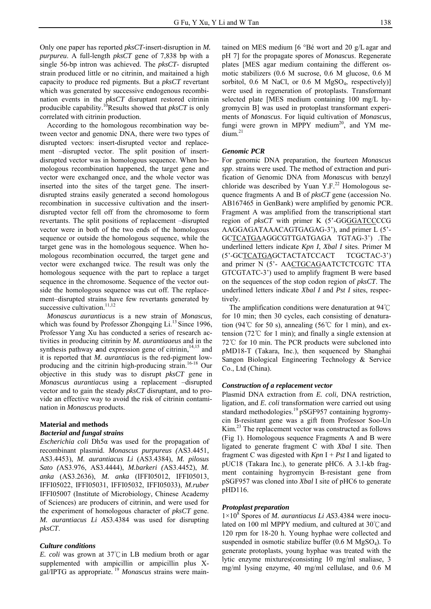Only one paper has reported *pksCT-*insert-disruption in *M. purpureu*. A full-length *pksCT* gene of 7,838 bp with a single 56-bp intron was achieved. The *pksCT*- disrupted strain produced little or no citrinin, and maitained a high capacity to produce red pigments. But a *pksCT* revertant which was generated by successive endogenous recombination events in the *pksCT* disruptant restored citrinin producible capability.10Results showed that *pksCT* is only correlated with citrinin production.

According to the homologous recombination way between vector and genomic DNA, there were two types of disrupted vectors: insert-disrupted vector and replacement –disrupted vector. The split position of insertdisrupted vector was in homologous sequence. When homologous recombination happened, the target gene and vector were exchanged once, and the whole vector was inserted into the sites of the target gene. The insertdisrupted strains easily generated a second homologous recombination in successive cultivation and the insertdisrupted vector fell off from the chromosome to form revertants. The split positions of replacement –disrupted vector were in both of the two ends of the homologous sequence or outside the homologous sequence, while the target gene was in the homologous sequence. When homologous recombination occurred, the target gene and vector were exchanged twice. The result was only the homologous sequence with the part to replace a target sequence in the chromosome. Sequence of the vector outside the homologous sequence was cut off. The replacement–disrupted strains have few revertants generated by successive cultivation.<sup>11,12</sup>

*Monascus aurantiacus* is a new strain of *Monascus*, which was found by Professor Zhongqing Li.<sup>13</sup> Since 1996, Professor Yang Xu has conducted a series of research activities in producing citrinin by *M. aurantiaaeus* and in the synthesis pathway and expression gene of citrinin,<sup>14,15</sup> and it is reported that *M. aurantiacus* is the red-pigment lowproducing and the citrinin high-producing strain.<sup>16-18</sup> Our objective in this study was to disrupt *pksCT* gene in *Monascus aurantiacus* using a replacement –disrupted vector and to gain the steady *pksCT* disruptant, and to provide an effective way to avoid the risk of citrinin contamination in *Monascus* products.

# **Material and methods**

# *Bacterial and fungal strains*

*Escherichia coli* Dh5α was used for the propagation of recombinant plasmid. *Monascus purpureus (*AS3.4451, AS3.4453), *M. aurantiacus Li* (AS3.4384), *M. pilosus Sato (*AS3.976, AS3.4444), *M.barkeri (*AS3.4452), *M. anka* (AS3.2636), *M. anka* (IFFI05012, IFFI05013, IFFI05022, IFFI05031, IFFI05032, IFFI05033), *M.ruber*  IFFI05007 (Institute of Microbiology, Chinese Academy of Sciences) are producers of citrinin, and were used for the experiment of homologous character of *pksCT* gene. *M. aurantiacus Li AS*3.4384 was used for disrupting *pksCT*.

#### *Culture conditions*

*E. coli* was grown at 37℃in LB medium broth or agar supplemented with ampicillin or ampicillin plus Xgal/IPTG as appropriate. 19 *Monascus* strains were main-

tained on MES medium [6 °Bé wort and 20 g/L agar and pH 7] for the propagate spores of *Monascus*. Regenerate plates [MES agar medium containing the different osmotic stabilizers (0.6 M sucrose, 0.6 M glucose, 0.6 M sorbitol,  $0.6$  M NaCl, or  $0.6$  M MgSO<sub>4</sub>, respectively)] were used in regeneration of protoplasts. Transformant selected plate [MES medium containing 100 mg/L hygromycin B] was used in protoplast transformant experiments of *Monascus*. For liquid cultivation of *Monascus*, fungi were grown in MPPY medium<sup>20</sup>, and YM me- $\dim^{21}$ 

#### *Genomic PCR*

For genomic DNA preparation, the fourteen *Monascus spp*. strains were used. The method of extraction and purification of Genomic DNA from *Monascus* with benzyl chloride was described by Yuan Y.F. $^{22}$  Homologous sequence fragments A and B of *pksCT* gene (accession No. AB167465 in GenBank) were amplified by genomic PCR. Fragment A was amplified from the transcriptional start region of *pksCT* with primer K (5'-GGGGATCCCCG AAGGAGATAAACAGTGAGAG-3'), and primer L (5'- GCTCATGAAGGCGTTGATGAGA TGTAG-3') .The underlined letters indicate *Kpn I*, *Xbal I* sites. Primer M (5'-GCTCATGAGCTACTATCCACT TCGCTAC-3') and primer N (5'- AACTGCAGAATCTCTCGTC TTA GTCGTATC-3') used to amplify fragment B were based on the sequences of the stop codon region of *pksCT*. The underlined letters indicate *Xbal I* and *Pst I* sites, respectively.

The amplification conditions were denaturation at 94℃ for 10 min; then 30 cycles, each consisting of denaturation (94°C for 50 s), annealing (56°C for 1 min), and extension (72℃ for 1 min); and finally a single extension at 72℃ for 10 min. The PCR products were subcloned into pMD18-T (Takara, Inc.), then sequenced by Shanghai Sangon Biological Engineering Technology & Service Co., Ltd (China).

# *Construction of a replacement vector*

Plasmid DNA extraction from *E. coli*, DNA restriction, ligation, and *E. coli* transformation were carried out using standard methodologies.<sup>19</sup> pSGF957 containing hygromycin B-resistant gene was a gift from Professor Soo-Un Kim.<sup>23</sup> The replacement vector was constructed as follows (Fig 1). Homologous sequence Fragments A and B were ligated to generate fragment C with *Xbal* I site. Then fragment C was digested with *Kpn* I + *Pst* I and ligated to pUC18 (Takara Inc.), to generate pHC6. A 3.1-kb fragment containing hygromycin B-resistant gene from pSGF957 was cloned into *Xbal* I site of pHC6 to generate pHD116.

#### *Protoplast preparation*

1×10<sup>8</sup> Spores of *M. aurantiacus Li AS*3.4384 were inoculated on 100 ml MPPY medium, and cultured at 30℃ and 120 rpm for 18-20 h. Young hyphae were collected and suspended in osmotic stabilize buffer (0.6 M MgSO<sub>4</sub>). To generate protoplasts, young hyphae was treated with the lytic enzyme mixtures(consisting 10 mg/ml snaliase, 3 mg/ml lysing enzyme, 40 mg/ml cellulase, and 0.6 M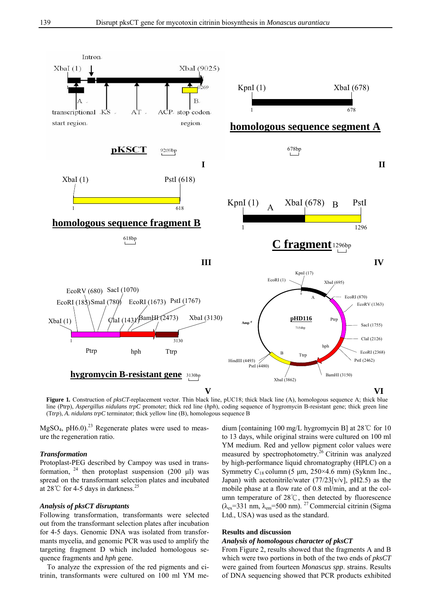

**Figure 1.** Construction of *pksCT*-replacement vector. Thin black line, pUC18; thick black line (A), homologous sequence A; thick blue line (Ptrp), *Aspergillus nidulans trpC* promoter; thick red line (*hph*), coding sequence of hygromycin B-resistant gene; thick green line (T*trp*), *A. nidulans trpC* terminator; thick yellow line (B), homologous sequence B

 $MgSO<sub>4</sub>$ , pH6.0).<sup>23</sup> Regenerate plates were used to measure the regeneration ratio.

# *Transformation*

Protoplast-PEG described by Campoy was used in transformation,  $24$  then protoplast suspension (200 μl) was spread on the transformant selection plates and incubated at 28°C for 4-5 days in darkness.<sup>25</sup>

# *Analysis of pksCT disruptants*

Following transformation, transformants were selected out from the transformant selection plates after incubation for 4-5 days. Genomic DNA was isolated from transformants mycelia, and genomic PCR was used to amplify the targeting fragment D which included homologous sequence fragments and *hph* gene.

To analyze the expression of the red pigments and citrinin, transformants were cultured on 100 ml YM me-

dium [containing 100 mg/L hygromycin B] at 28℃ for 10 to 13 days, while original strains were cultured on 100 ml YM medium. Red and yellow pigment color values were measured by spectrophotometry.<sup>26</sup> Citrinin was analyzed by high-performance liquid chromatography (HPLC) on a Symmetry  $C_{18}$  column (5 µm, 250×4.6 mm) (Syknm Inc., Japan) with acetonitrile/water  $(77/23[v/v]$ , pH2.5) as the mobile phase at a flow rate of 0.8 ml/min, and at the column temperature of 28℃, then detected by fluorescence  $(\lambda_{ex}=331 \text{ nm}, \lambda_{em}=500 \text{ nm})$ . <sup>27</sup> Commercial citrinin (Sigma Ltd., USA) was used as the standard.

# **Results and discussion**

# *Analysis of homologous character of pksCT*

From Figure 2, results showed that the fragments A and B which were two portions in both of the two ends of *pksCT* were gained from fourteen *Monascus spp*. strains. Results of DNA sequencing showed that PCR products exhibited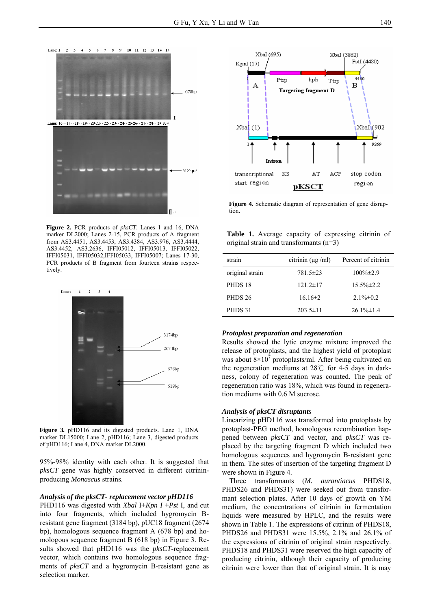

**Figure 2.** PCR products of *pksCT*. Lanes 1 and 16, DNA marker DL2000; Lanes 2-15, PCR products of A fragment from AS3.4451, AS3.4453, AS3.4384*,* AS3.976, AS3.4444, AS3.4452, AS3.2636, IFFI05012, IFFI05013, IFFI05022, IFFI05031, IFFI05032,IFFI05033, IFFI05007; Lanes 17-30, PCR products of B fragment from fourteen strains respectively.



**Figure 3***.* pHD116 and its digested products. Lane 1, DNA marker DL15000; Lane 2, pHD116; Lane 3, digested products of pHD116; Lane 4, DNA marker DL2000.

95%-98% identity with each other. It is suggested that *pksCT* gene was highly conserved in different citrininproducing *Monascus* strains.

#### *Analysis of the pksCT- replacement vector pHD116*

PHD116 was digested with *Xbal* I+*Kpn I* +*Pst* I, and cut into four fragments, which included hygromycin Bresistant gene fragment (3184 bp), pUC18 fragment (2674 bp), homologous sequence fragment A (678 bp) and homologous sequence fragment B (618 bp) in Figure 3. Results showed that pHD116 was the *pksCT*-replacement vector, which contains two homologous sequence fragments of *pksCT* and a hygromycin B-resistant gene as selection marker.



**Figure 4.** Schematic diagram of representation of gene disruption.

**Table 1.** Average capacity of expressing citrinin of original strain and transformants (n=3)

| strain          | citrinin $(\mu g/ml)$ | Percent of citrinin |
|-----------------|-----------------------|---------------------|
| original strain | 781.5±23              | $100\% \pm 2.9$     |
| PHDS 18         | $121.2 \pm 17$        | $15.5\% \pm 2.2$    |
| <b>PHDS 26</b>  | $16.16 \pm 2$         | $2.1\% \pm 0.2$     |
| PHDS 31         | $203.5 \pm 11$        | $26.1\% \pm 1.4$    |

#### *Protoplast preparation and regeneration*

Results showed the lytic enzyme mixture improved the release of protoplasts, and the highest yield of protoplast was about  $8 \times 10^7$  protoplasts/ml. After being cultivated on the regeneration mediums at 28℃ for 4-5 days in darkness, colony of regeneration was counted. The peak of regeneration ratio was 18%, which was found in regeneration mediums with 0.6 M sucrose.

#### *Analysis of pksCT disruptants*

Linearizing pHD116 was transformed into protoplasts by protoplast-PEG method, homologous recombination happened between *pksCT* and vector, and *pksCT* was replaced by the targeting fragment D which included two homologous sequences and hygromycin B-resistant gene in them. The sites of insertion of the targeting fragment D were shown in Figure 4.

Three transformants (*M. aurantiacus* PHDS18, PHDS26 and PHDS31) were seeked out from transformant selection plates. After 10 days of growth on YM medium, the concentrations of citrinin in fermentation liquids were measured by HPLC, and the results were shown in Table 1. The expressions of citrinin of PHDS18, PHDS26 and PHDS31 were 15.5%, 2.1% and 26.1% of the expressions of citrinin of original strain respectively. PHDS18 and PHDS31 were reserved the high capacity of producing citrinin, although their capacity of producing citrinin were lower than that of original strain. It is may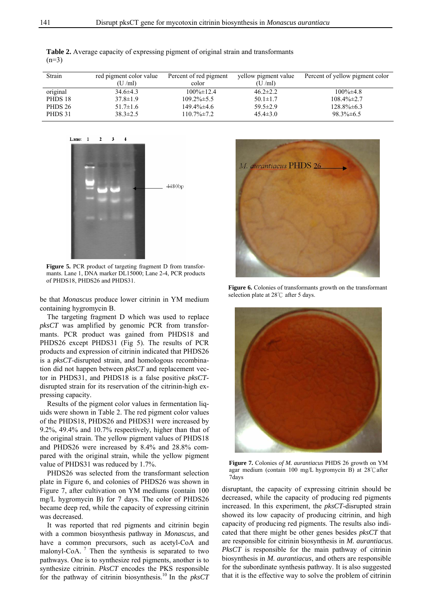**Table 2.** Average capacity of expressing pigment of original strain and transformants  $(n=3)$ 

| Strain   | red pigment color value | Percent of red pigment | yellow pigment value | Percent of yellow pigment color |
|----------|-------------------------|------------------------|----------------------|---------------------------------|
|          | (U/ml)                  | color                  | (U/ml)               |                                 |
| original | $34.6\pm4.3$            | $100\% \pm 12.4$       | $46.2 \pm 2.2$       | $100\% \pm 4.8$                 |
| PHDS 18  | $37.8 \pm 1.9$          | $109.2\% \pm 5.5$      | $50.1 \pm 1.7$       | $108.4\% \pm 2.7$               |
| PHDS 26  | $51.7 \pm 1.6$          | 149.4% ± 4.6           | $59.5 \pm 2.9$       | $128.8\% \pm 6.3$               |
| PHDS 31  | $38.3 \pm 2.5$          | $110.7\% \pm 7.2$      | $45.4 \pm 3.0$       | $98.3\% \pm 6.5$                |

Lane: 1  $\overline{2}$  $\overline{\mathbf{3}}$  $\overline{A}$ 4480bp

**Figure 5.** PCR product of targeting fragment D from transformants. Lane 1, DNA marker DL15000; Lane 2-4, PCR products of PHDS18, PHDS26 and PHDS31.

be that *Monascus* produce lower citrinin in YM medium containing hygromycin B.

The targeting fragment D which was used to replace *pksCT* was amplified by genomic PCR from transformants. PCR product was gained from PHDS18 and PHDS26 except PHDS31 (Fig 5). The results of PCR products and expression of citrinin indicated that PHDS26 is a *pksCT*-disrupted strain, and homologous recombination did not happen between *pksCT* and replacement vector in PHDS31, and PHDS18 is a false positive *pksCT*disrupted strain for its reservation of the citrinin-high expressing capacity.

Results of the pigment color values in fermentation liquids were shown in Table 2. The red pigment color values of the PHDS18, PHDS26 and PHDS31 were increased by 9.2%, 49.4% and 10.7% respectively, higher than that of the original strain. The yellow pigment values of PHDS18 and PHDS26 were increased by 8.4% and 28.8% compared with the original strain, while the yellow pigment value of PHDS31 was reduced by 1.7%.

PHDS26 was selected from the transformant selection plate in Figure 6, and colonies of PHDS26 was shown in Figure 7, after cultivation on YM mediums (contain 100 mg/L hygromycin B) for 7 days. The color of PHDS26 became deep red, while the capacity of expressing citrinin was decreased.

It was reported that red pigments and citrinin begin with a common biosynthesis pathway in *Monascus*, and have a common precursors, such as acetyl-CoA and malonyl-CoA.  $\frac{7}{1}$  Then the synthesis is separated to two pathways. One is to synthesize red pigments, another is to synthesize citrinin. *PksCT* encodes the PKS responsible for the pathway of citrinin biosynthesis.<sup>10</sup> In the *pksCT*



**Figure 6.** Colonies of transformants growth on the transformant selection plate at 28℃ after 5 days.



**Figure 7.** Colonies *of M. aurantiacus* PHDS 26 growth on YM agar medium (contain 100 mg/L hygromycin B) at 28℃after 7days

disruptant, the capacity of expressing citrinin should be decreased, while the capacity of producing red pigments increased. In this experiment, the *pksCT*-disrupted strain showed its low capacity of producing citrinin, and high capacity of producing red pigments. The results also indicated that there might be other genes besides *pksCT* that are responsible for citrinin biosynthesis in *M. aurantiacus*. *PksCT* is responsible for the main pathway of citrinin biosynthesis in *M. aurantiacus*, and others are responsible for the subordinate synthesis pathway. It is also suggested that it is the effective way to solve the problem of citrinin